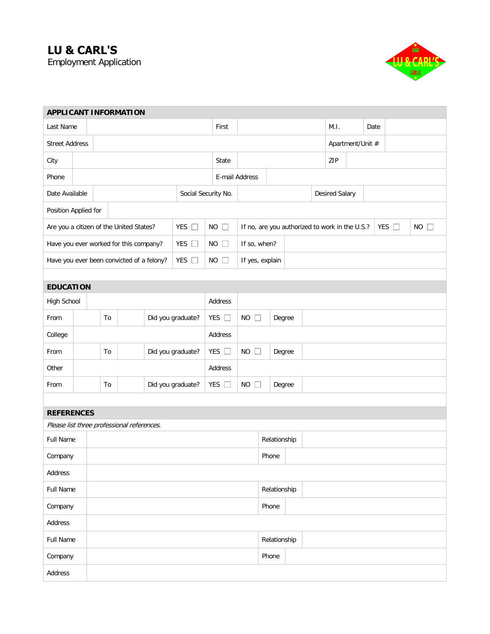## **LU & CARL'S**

Employment Application



| <b>APPLICANT INFORMATION</b>               |                                           |                                        |  |                   |               |                                      |                     |                                                |                  |        |  |  |                       |  |      |            |              |  |  |
|--------------------------------------------|-------------------------------------------|----------------------------------------|--|-------------------|---------------|--------------------------------------|---------------------|------------------------------------------------|------------------|--------|--|--|-----------------------|--|------|------------|--------------|--|--|
| Last Name                                  |                                           |                                        |  |                   |               |                                      |                     | First                                          |                  |        |  |  | M.I.                  |  | Date |            |              |  |  |
| <b>Street Address</b>                      |                                           |                                        |  |                   |               |                                      |                     |                                                | Apartment/Unit # |        |  |  |                       |  |      |            |              |  |  |
| City                                       |                                           |                                        |  |                   |               |                                      |                     | State                                          |                  |        |  |  | ZIP                   |  |      |            |              |  |  |
| Phone                                      |                                           |                                        |  |                   |               |                                      | E-mail Address      |                                                |                  |        |  |  |                       |  |      |            |              |  |  |
| Date Available                             |                                           |                                        |  |                   |               |                                      | Social Security No. |                                                |                  |        |  |  | <b>Desired Salary</b> |  |      |            |              |  |  |
| Position Applied for                       |                                           |                                        |  |                   |               |                                      |                     |                                                |                  |        |  |  |                       |  |      |            |              |  |  |
|                                            | Are you a citizen of the United States?   |                                        |  |                   | YES $\square$ | <b>NO</b>                            | $\Box$              | If no, are you authorized to work in the U.S.? |                  |        |  |  |                       |  |      | YES $\Box$ | NO<br>$\Box$ |  |  |
|                                            |                                           | Have you ever worked for this company? |  |                   | YES $\square$ | <b>NO</b>                            | ш                   | If so, when?                                   |                  |        |  |  |                       |  |      |            |              |  |  |
|                                            | Have you ever been convicted of a felony? |                                        |  | YES $\square$     | NO            | $\mathbb{R}^n$                       | If yes, explain     |                                                |                  |        |  |  |                       |  |      |            |              |  |  |
|                                            |                                           |                                        |  |                   |               |                                      |                     |                                                |                  |        |  |  |                       |  |      |            |              |  |  |
| <b>EDUCATION</b>                           |                                           |                                        |  |                   |               |                                      |                     |                                                |                  |        |  |  |                       |  |      |            |              |  |  |
| High School                                |                                           |                                        |  |                   |               |                                      | Address             |                                                |                  |        |  |  |                       |  |      |            |              |  |  |
| From                                       | To                                        |                                        |  | Did you graduate? |               |                                      | YES $\square$       | <b>NO</b><br>П<br>Degree                       |                  |        |  |  |                       |  |      |            |              |  |  |
| College                                    |                                           |                                        |  |                   |               |                                      | Address             |                                                |                  |        |  |  |                       |  |      |            |              |  |  |
| From                                       |                                           | Did you graduate?<br>To                |  |                   |               | YES $\square$<br><b>NO</b><br>$\Box$ |                     |                                                |                  | Degree |  |  |                       |  |      |            |              |  |  |
| Other                                      |                                           |                                        |  |                   |               |                                      | Address             |                                                |                  |        |  |  |                       |  |      |            |              |  |  |
| From                                       |                                           | Did you graduate?<br>To                |  |                   |               |                                      | YES $\square$       | <b>NO</b><br>$\Box$<br>Degree                  |                  |        |  |  |                       |  |      |            |              |  |  |
|                                            |                                           |                                        |  |                   |               |                                      |                     |                                                |                  |        |  |  |                       |  |      |            |              |  |  |
| <b>REFERENCES</b>                          |                                           |                                        |  |                   |               |                                      |                     |                                                |                  |        |  |  |                       |  |      |            |              |  |  |
| Please list three professional references. |                                           |                                        |  |                   |               |                                      |                     |                                                |                  |        |  |  |                       |  |      |            |              |  |  |
| Full Name                                  |                                           |                                        |  |                   |               |                                      |                     |                                                | Relationship     |        |  |  |                       |  |      |            |              |  |  |
| Company                                    |                                           |                                        |  |                   |               |                                      |                     |                                                |                  | Phone  |  |  |                       |  |      |            |              |  |  |
| Address                                    |                                           |                                        |  |                   |               |                                      |                     |                                                |                  |        |  |  |                       |  |      |            |              |  |  |
| Full Name                                  |                                           |                                        |  |                   | Relationship  |                                      |                     |                                                |                  |        |  |  |                       |  |      |            |              |  |  |
| Company                                    |                                           |                                        |  |                   |               | Phone                                |                     |                                                |                  |        |  |  |                       |  |      |            |              |  |  |
| Address                                    |                                           |                                        |  |                   |               |                                      |                     |                                                |                  |        |  |  |                       |  |      |            |              |  |  |
| Full Name                                  |                                           |                                        |  |                   |               | Relationship                         |                     |                                                |                  |        |  |  |                       |  |      |            |              |  |  |
| Company                                    |                                           |                                        |  |                   |               |                                      | Phone               |                                                |                  |        |  |  |                       |  |      |            |              |  |  |
| Address                                    |                                           |                                        |  |                   |               |                                      |                     |                                                |                  |        |  |  |                       |  |      |            |              |  |  |